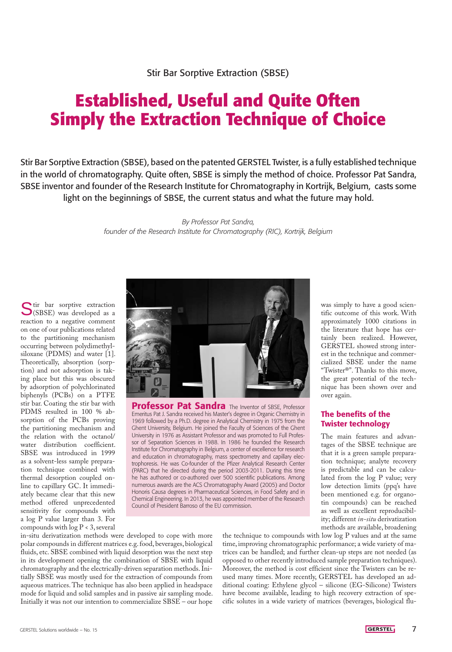## **Established, Useful and Quite Often Simply the Extraction Technique of Choice**

Stir Bar Sorptive Extraction (SBSE), based on the patented GERSTEL Twister, is a fully established technique in the world of chromatography. Quite often, SBSE is simply the method of choice. Professor Pat Sandra, SBSE inventor and founder of the Research Institute for Chromatography in Kortrijk, Belgium, casts some light on the beginnings of SBSE, the current status and what the future may hold.

> *By Professor Pat Sandra, founder of the Research Institute for Chromatography (RIC), Kortrijk, Belgium*

Stir bar sorptive extraction<br>(SBSE) was developed as a reaction to a negative comment on one of our publications related to the partitioning mechanism occurring between polydimethylsiloxane (PDMS) and water [1]. Theoretically, absorption (sorption) and not adsorption is taking place but this was obscured by adsorption of polychlorinated biphenyls (PCBs) on a PTFE stir bar. Coating the stir bar with PDMS resulted in 100 % absorption of the PCBs proving the partitioning mechanism and the relation with the octanol/ water distribution coefficient. SBSE was introduced in 1999 as a solvent-less sample preparation technique combined with thermal desorption coupled online to capillary GC. It immediately became clear that this new method offered unprecedented sensitivity for compounds with a log P value larger than 3. For compounds with  $log P < 3$ , several



**Professor Pat Sandra** The Inventor of SBSE, Professor Emeritus Pat J. Sandra received his Master's degree in Organic Chemistry in 1969 followed by a Ph.D. degree in Analytical Chemistry in 1975 from the Ghent University, Belgium. He joined the Faculty of Sciences of the Ghent University in 1976 as Assistant Professor and was promoted to Full Professor of Separation Sciences in 1988. In 1986 he founded the Research Institute for Chromatography in Belgium, a center of excellence for research and education in chromatography, mass spectrometry and capillary electrophoresis. He was Co-founder of the Pfizer Analytical Research Center (PARC) that he directed during the period 2003-2011. During this time he has authored or co-authored over 500 scientific publications. Among numerous awards are the ACS Chromatography Award (2005) and Doctor Honoris Causa degrees in Pharmaceutical Sciences, in Food Safety and in Chemical Engineering. In 2013, he was appointed member of the Research Council of President Barroso of the EU commission.

was simply to have a good scientific outcome of this work. With approximately 1000 citations in the literature that hope has certainly been realized. However, GERSTEL showed strong interest in the technique and commercialized SBSE under the name "Twister®". Thanks to this move, the great potential of the technique has been shown over and over again.

## The benefits of the Twister technology

The main features and advantages of the SBSE technique are that it is a green sample preparation technique; analyte recovery is predictable and can be calculated from the log P value; very low detection limits (ppq's have been mentioned e.g. for organotin compounds) can be reached as well as excellent reproducibility; different *in-situ* derivatization methods are available, broadening

in-situ derivatization methods were developed to cope with more polar compounds in different matrices e.g. food, beverages, biological fluids, etc. SBSE combined with liquid desorption was the next step in its development opening the combination of SBSE with liquid chromatography and the electrically-driven separation methods. Initially SBSE was mostly used for the extraction of compounds from aqueous matrices. The technique has also been applied in headspace mode for liquid and solid samples and in passive air sampling mode. Initially it was not our intention to commercialize SBSE – our hope

the technique to compounds with low log P values and at the same time, improving chromatographic performance; a wide variety of matrices can be handled; and further clean-up steps are not needed (as opposed to other recently introduced sample preparation techniques). Moreover, the method is cost efficient since the Twisters can be reused many times. More recently, GERSTEL has developed an additional coating: Ethylene glycol – silicone (EG-Silicone) Twisters have become available, leading to high recovery extraction of specific solutes in a wide variety of matrices (beverages, biological flu